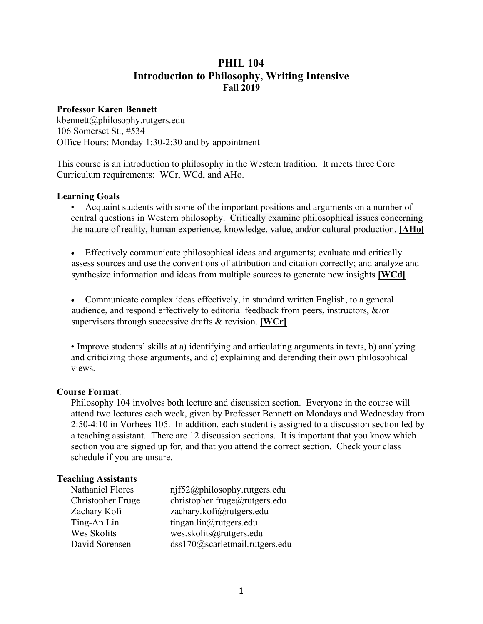# **PHIL 104 Introduction to Philosophy, Writing Intensive Fall 2019**

## **Professor Karen Bennett**

kbennett@philosophy.rutgers.edu 106 Somerset St., #534 Office Hours: Monday 1:30-2:30 and by appointment

This course is an introduction to philosophy in the Western tradition. It meets three Core Curriculum requirements: WCr, WCd, and AHo.

### **Learning Goals**

• Acquaint students with some of the important positions and arguments on a number of central questions in Western philosophy. Critically examine philosophical issues concerning the nature of reality, human experience, knowledge, value, and/or cultural production. **[AHo]**

• Effectively communicate philosophical ideas and arguments; evaluate and critically assess sources and use the conventions of attribution and citation correctly; and analyze and synthesize information and ideas from multiple sources to generate new insights **[WCd]**

• Communicate complex ideas effectively, in standard written English, to a general audience, and respond effectively to editorial feedback from peers, instructors, &/or supervisors through successive drafts & revision. **[WCr]**

• Improve students' skills at a) identifying and articulating arguments in texts, b) analyzing and criticizing those arguments, and c) explaining and defending their own philosophical views.

## **Course Format**:

Philosophy 104 involves both lecture and discussion section. Everyone in the course will attend two lectures each week, given by Professor Bennett on Mondays and Wednesday from 2:50-4:10 in Vorhees 105. In addition, each student is assigned to a discussion section led by a teaching assistant. There are 12 discussion sections. It is important that you know which section you are signed up for, and that you attend the correct section. Check your class schedule if you are unsure.

## **Teaching Assistants**

| <b>Nathaniel Flores</b> | nif52@philosophy.rutgers.edu   |
|-------------------------|--------------------------------|
| Christopher Fruge       | christopher.fruge@rutgers.edu  |
| Zachary Kofi            | zachary.kofi@rutgers.edu       |
| Ting-An Lin             | tingan.lin@rutgers.edu         |
| Wes Skolits             | wes.skolits@rutgers.edu        |
| David Sorensen          | dss170@scarletmail.rutgers.edu |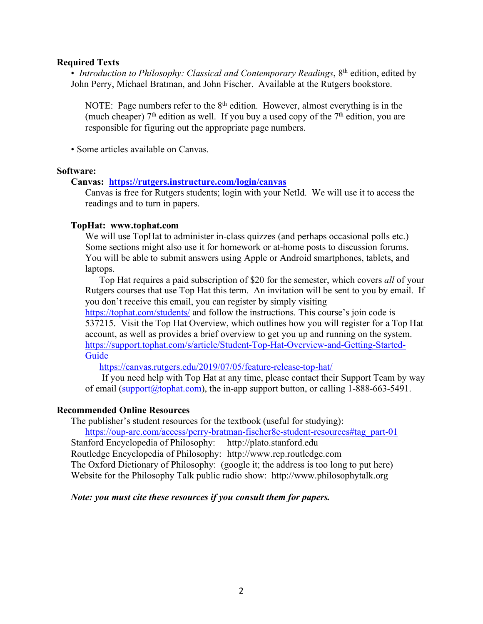### **Required Texts**

• *Introduction to Philosophy: Classical and Contemporary Readings*, 8<sup>th</sup> edition, edited by John Perry, Michael Bratman, and John Fischer. Available at the Rutgers bookstore.

NOTE: Page numbers refer to the  $8<sup>th</sup>$  edition. However, almost everything is in the (much cheaper)  $7<sup>th</sup>$  edition as well. If you buy a used copy of the  $7<sup>th</sup>$  edition, you are responsible for figuring out the appropriate page numbers.

• Some articles available on Canvas.

### **Software:**

## **Canvas: https://rutgers.instructure.com/login/canvas**

Canvas is free for Rutgers students; login with your NetId. We will use it to access the readings and to turn in papers.

### **TopHat: www.tophat.com**

We will use TopHat to administer in-class quizzes (and perhaps occasional polls etc.) Some sections might also use it for homework or at-home posts to discussion forums. You will be able to submit answers using Apple or Android smartphones, tablets, and laptops.

Top Hat requires a paid subscription of \$20 for the semester, which covers *all* of your Rutgers courses that use Top Hat this term. An invitation will be sent to you by email. If you don't receive this email, you can register by simply visiting

https://tophat.com/students/ and follow the instructions. This course's join code is 537215. Visit the Top Hat Overview, which outlines how you will register for a Top Hat account, as well as provides a brief overview to get you up and running on the system. https://support.tophat.com/s/article/Student-Top-Hat-Overview-and-Getting-Started-**Guide** 

https://canvas.rutgers.edu/2019/07/05/feature-release-top-hat/

If you need help with Top Hat at any time, please contact their Support Team by way of email (support  $(a)$  tophat.com), the in-app support button, or calling 1-888-663-5491.

## **Recommended Online Resources**

The publisher's student resources for the textbook (useful for studying):

https://oup-arc.com/access/perry-bratman-fischer8e-student-resources#tag\_part-01 Stanford Encyclopedia of Philosophy: http://plato.stanford.edu Routledge Encyclopedia of Philosophy: http://www.rep.routledge.com The Oxford Dictionary of Philosophy: (google it; the address is too long to put here) Website for the Philosophy Talk public radio show: http://www.philosophytalk.org

## *Note: you must cite these resources if you consult them for papers.*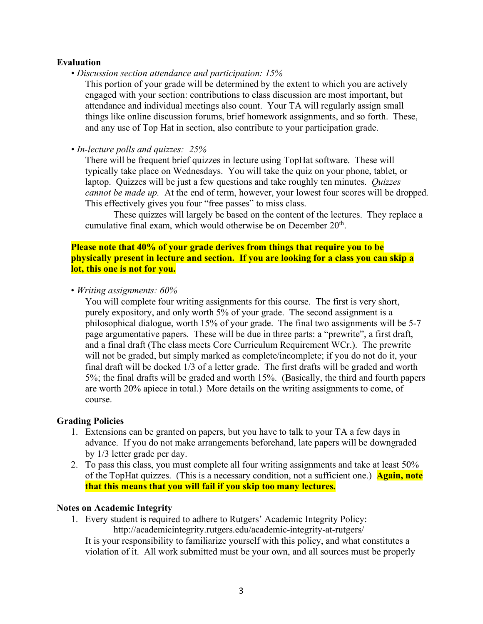### **Evaluation**

*• Discussion section attendance and participation: 15%*

This portion of your grade will be determined by the extent to which you are actively engaged with your section: contributions to class discussion are most important, but attendance and individual meetings also count. Your TA will regularly assign small things like online discussion forums, brief homework assignments, and so forth. These, and any use of Top Hat in section, also contribute to your participation grade.

*• In-lecture polls and quizzes: 25%*

There will be frequent brief quizzes in lecture using TopHat software. These will typically take place on Wednesdays. You will take the quiz on your phone, tablet, or laptop. Quizzes will be just a few questions and take roughly ten minutes. *Quizzes cannot be made up.* At the end of term, however, your lowest four scores will be dropped. This effectively gives you four "free passes" to miss class.

These quizzes will largely be based on the content of the lectures. They replace a cumulative final exam, which would otherwise be on December 20<sup>th</sup>.

**Please note that 40% of your grade derives from things that require you to be physically present in lecture and section. If you are looking for a class you can skip a lot, this one is not for you.**

• *Writing assignments: 60%*

You will complete four writing assignments for this course. The first is very short, purely expository, and only worth 5% of your grade. The second assignment is a philosophical dialogue, worth 15% of your grade. The final two assignments will be 5-7 page argumentative papers. These will be due in three parts: a "prewrite", a first draft, and a final draft (The class meets Core Curriculum Requirement WCr.). The prewrite will not be graded, but simply marked as complete/incomplete; if you do not do it, your final draft will be docked 1/3 of a letter grade. The first drafts will be graded and worth 5%; the final drafts will be graded and worth 15%. (Basically, the third and fourth papers are worth 20% apiece in total.) More details on the writing assignments to come, of course.

#### **Grading Policies**

- 1. Extensions can be granted on papers, but you have to talk to your TA a few days in advance. If you do not make arrangements beforehand, late papers will be downgraded by 1/3 letter grade per day.
- 2. To pass this class, you must complete all four writing assignments and take at least 50% of the TopHat quizzes. (This is a necessary condition, not a sufficient one.) **Again, note that this means that you will fail if you skip too many lectures.**

#### **Notes on Academic Integrity**

1. Every student is required to adhere to Rutgers' Academic Integrity Policy: http://academicintegrity.rutgers.edu/academic-integrity-at-rutgers/ It is your responsibility to familiarize yourself with this policy, and what constitutes a violation of it. All work submitted must be your own, and all sources must be properly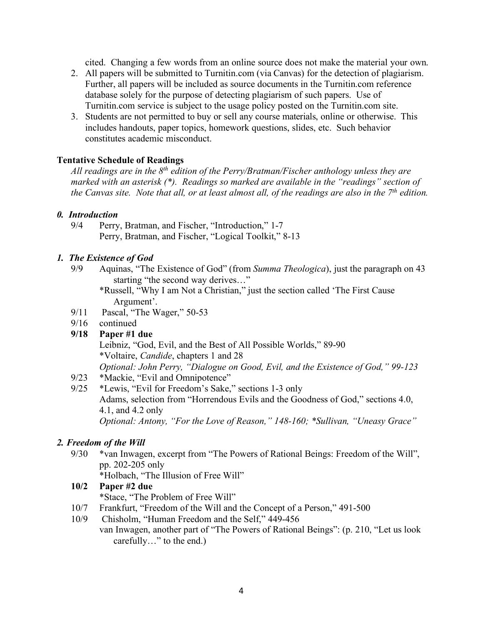cited. Changing a few words from an online source does not make the material your own.

- 2. All papers will be submitted to Turnitin.com (via Canvas) for the detection of plagiarism. Further, all papers will be included as source documents in the Turnitin.com reference database solely for the purpose of detecting plagiarism of such papers. Use of Turnitin.com service is subject to the usage policy posted on the Turnitin.com site.
- 3. Students are not permitted to buy or sell any course materials, online or otherwise. This includes handouts, paper topics, homework questions, slides, etc. Such behavior constitutes academic misconduct.

## **Tentative Schedule of Readings**

*All readings are in the 8th edition of the Perry/Bratman/Fischer anthology unless they are marked with an asterisk (\*). Readings so marked are available in the "readings" section of the Canvas site. Note that all, or at least almost all, of the readings are also in the 7th edition.* 

## *0. Introduction*

9/4 Perry, Bratman, and Fischer, "Introduction," 1-7 Perry, Bratman, and Fischer, "Logical Toolkit," 8-13

## *1. The Existence of God*

9/9 Aquinas, "The Existence of God" (from *Summa Theologica*), just the paragraph on 43 starting "the second way derives…"

\*Russell, "Why I am Not a Christian," just the section called 'The First Cause Argument'.

- 9/11 Pascal, "The Wager," 50-53
- 9/16 continued
- **9/18 Paper #1 due**

Leibniz, "God, Evil, and the Best of All Possible Worlds," 89-90 \*Voltaire, *Candide*, chapters 1 and 28 *Optional: John Perry, "Dialogue on Good, Evil, and the Existence of God," 99-123*

- 9/23 \*Mackie, "Evil and Omnipotence"
- 9/25 \*Lewis, "Evil for Freedom's Sake," sections 1-3 only Adams, selection from "Horrendous Evils and the Goodness of God," sections 4.0, 4.1, and 4.2 only *Optional: Antony, "For the Love of Reason," 148-160; \*Sullivan, "Uneasy Grace"*

## *2. Freedom of the Will*

9/30 \*van Inwagen, excerpt from "The Powers of Rational Beings: Freedom of the Will", pp. 202-205 only

\*Holbach, "The Illusion of Free Will"

**10/2 Paper #2 due**

\*Stace, "The Problem of Free Will"

- 10/7 Frankfurt, "Freedom of the Will and the Concept of a Person," 491-500
- 10/9 Chisholm, "Human Freedom and the Self," 449-456
	- van Inwagen, another part of "The Powers of Rational Beings": (p. 210, "Let us look carefully…" to the end.)